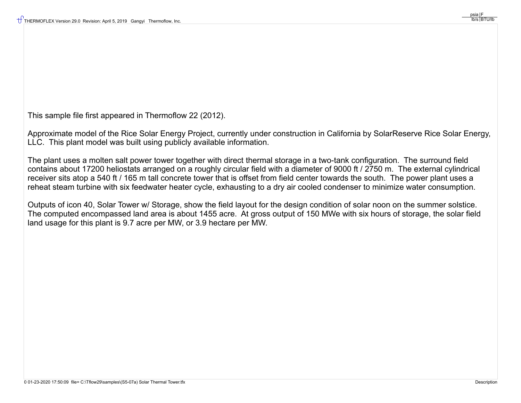This sample file first appeared in Thermoflow 22 (2012).

Approximate model of the Rice Solar Energy Project, currently under construction in California by SolarReserve Rice Solar Energy, LLC. This plant model was built using publicly available information.

The plant uses a molten salt power tower together with direct thermal storage in a two-tank configuration. The surround field contains about 17200 heliostats arranged on a roughly circular field with a diameter of 9000 ft / 2750 m. The external cylindrical receiver sits atop a 540 ft / 165 m tall concrete tower that is offset from field center towards the south. The power plant uses a reheat steam turbine with six feedwater heater cycle, exhausting to a dry air cooled condenser to minimize water consumption.

Outputs of icon 40, Solar Tower w/ Storage, show the field layout for the design condition of solar noon on the summer solstice. The computed encompassed land area is about 1455 acre. At gross output of 150 MWe with six hours of storage, the solar field land usage for this plant is 9.7 acre per MW, or 3.9 hectare per MW.